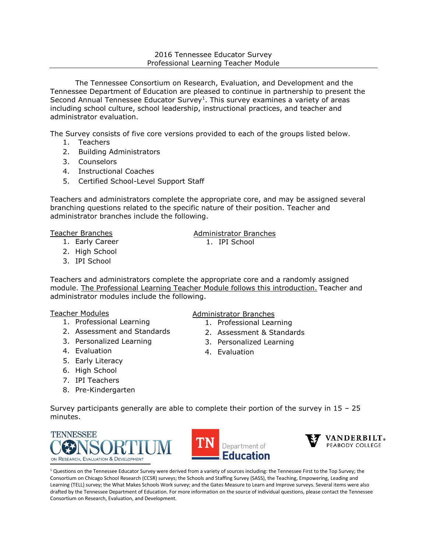#### 2016 Tennessee Educator Survey Professional Learning Teacher Module

The Tennessee Consortium on Research, Evaluation, and Development and the Tennessee Department of Education are pleased to continue in partnership to present the Second Annual Tennessee Educator Survey<sup>1</sup>. This survey examines a variety of areas including school culture, school leadership, instructional practices, and teacher and administrator evaluation.

The Survey consists of five core versions provided to each of the groups listed below.

- 1. Teachers
- 2. Building Administrators
- 3. Counselors
- 4. Instructional Coaches
- 5. Certified School-Level Support Staff

Teachers and administrators complete the appropriate core, and may be assigned several branching questions related to the specific nature of their position. Teacher and administrator branches include the following.

#### Teacher Branches

- 1. Early Career
- 2. High School
- 3. IPI School

Teachers and administrators complete the appropriate core and a randomly assigned module. The Professional Learning Teacher Module follows this introduction. Teacher and administrator modules include the following.

## Teacher Modules

- 1. Professional Learning
- 2. Assessment and Standards
- 3. Personalized Learning
- 4. Evaluation
- 5. Early Literacy
- 6. High School
- 7. IPI Teachers
- 8. Pre-Kindergarten

## Administrator Branches

- 1. Professional Learning
- 2. Assessment & Standards
- 3. Personalized Learning
- 4. Evaluation

Survey participants generally are able to complete their portion of the survey in 15 – 25 minutes.







 $1$  Questions on the Tennessee Educator Survey were derived from a variety of sources including: the Tennessee First to the Top Survey; the Consortium on Chicago School Research (CCSR) surveys; the Schools and Staffing Survey (SASS), the Teaching, Empowering, Leading and Learning (TELL) survey; the What Makes Schools Work survey; and the Gates Measure to Learn and Improve surveys. Several items were also drafted by the Tennessee Department of Education. For more information on the source of individual questions, please contact the Tennessee Consortium on Research, Evaluation, and Development.

Administrator Branches

1. IPI School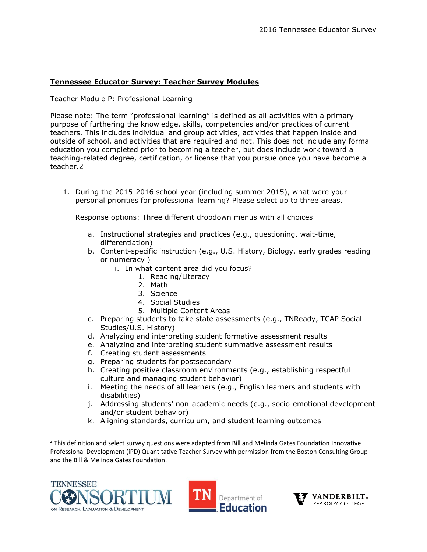# **Tennessee Educator Survey: Teacher Survey Modules**

### Teacher Module P: Professional Learning

Please note: The term "professional learning" is defined as all activities with a primary purpose of furthering the knowledge, skills, competencies and/or practices of current teachers. This includes individual and group activities, activities that happen inside and outside of school, and activities that are required and not. This does not include any formal education you completed prior to becoming a teacher, but does include work toward a teaching-related degree, certification, or license that you pursue once you have become a teacher.2

1. During the 2015-2016 school year (including summer 2015), what were your personal priorities for professional learning? Please select up to three areas.

Response options: Three different dropdown menus with all choices

- a. Instructional strategies and practices (e.g., questioning, wait-time, differentiation)
- b. Content-specific instruction (e.g., U.S. History, Biology, early grades reading or numeracy )
	- i. In what content area did you focus?
		- 1. Reading/Literacy
		- 2. Math
		- 3. Science
		- 4. Social Studies
		- 5. Multiple Content Areas
- c. Preparing students to take state assessments (e.g., TNReady, TCAP Social Studies/U.S. History)
- d. Analyzing and interpreting student formative assessment results
- e. Analyzing and interpreting student summative assessment results
- f. Creating student assessments
- g. Preparing students for postsecondary
- h. Creating positive classroom environments (e.g., establishing respectful culture and managing student behavior)
- i. Meeting the needs of all learners (e.g., English learners and students with disabilities)
- j. Addressing students' non-academic needs (e.g., socio-emotional development and/or student behavior)
- k. Aligning standards, curriculum, and student learning outcomes

<sup>&</sup>lt;sup>2</sup> This definition and select survey questions were adapted from Bill and Melinda Gates Foundation Innovative Professional Development (iPD) Quantitative Teacher Survey with permission from the Boston Consulting Group and the Bill & Melinda Gates Foundation.



 $\overline{a}$ 



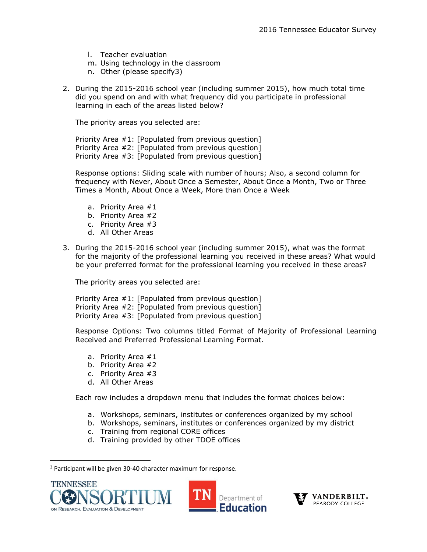- l. Teacher evaluation
- m. Using technology in the classroom
- n. Other (please specify3)
- 2. During the 2015-2016 school year (including summer 2015), how much total time did you spend on and with what frequency did you participate in professional learning in each of the areas listed below?

The priority areas you selected are:

Priority Area #1: [Populated from previous question] Priority Area #2: [Populated from previous question] Priority Area #3: [Populated from previous question]

Response options: Sliding scale with number of hours; Also, a second column for frequency with Never, About Once a Semester, About Once a Month, Two or Three Times a Month, About Once a Week, More than Once a Week

- a. Priority Area #1
- b. Priority Area #2
- c. Priority Area #3
- d. All Other Areas
- 3. During the 2015-2016 school year (including summer 2015), what was the format for the majority of the professional learning you received in these areas? What would be your preferred format for the professional learning you received in these areas?

The priority areas you selected are:

Priority Area #1: [Populated from previous question] Priority Area #2: [Populated from previous question] Priority Area #3: [Populated from previous question]

Response Options: Two columns titled Format of Majority of Professional Learning Received and Preferred Professional Learning Format.

- a. Priority Area #1
- b. Priority Area #2
- c. Priority Area #3
- d. All Other Areas

Each row includes a dropdown menu that includes the format choices below:

- a. Workshops, seminars, institutes or conferences organized by my school
- b. Workshops, seminars, institutes or conferences organized by my district
- c. Training from regional CORE offices
- d. Training provided by other TDOE offices

<sup>3</sup> Participant will be given 30-40 character maximum for response.



 $\overline{\phantom{a}}$ 



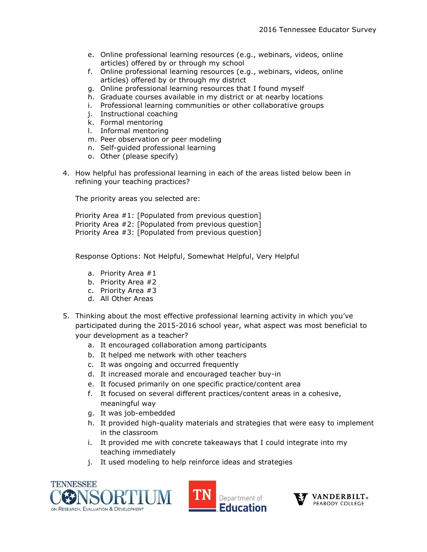- e. Online professional learning resources (e.g., webinars, videos, online articles) offered by or through my school
- f. Online professional learning resources (e.g., webinars, videos, online articles) offered by or through my district
- g. Online professional learning resources that I found myself
- h. Graduate courses available in my district or at nearby locations
- i. Professional learning communities or other collaborative groups
- j. Instructional coaching
- k. Formal mentoring
- l. Informal mentoring
- m. Peer observation or peer modeling
- n. Self-guided professional learning
- o. Other (please specify)
- 4. How helpful has professional learning in each of the areas listed below been in refining your teaching practices?

The priority areas you selected are:

Priority Area #1: [Populated from previous question] Priority Area #2: [Populated from previous question] Priority Area #3: [Populated from previous question]

Response Options: Not Helpful, Somewhat Helpful, Very Helpful

- a. Priority Area #1
- b. Priority Area #2
- c. Priority Area #3
- d. All Other Areas
- 5. Thinking about the most effective professional learning activity in which you've participated during the 2015-2016 school year, what aspect was most beneficial to your development as a teacher?
	- a. It encouraged collaboration among participants
	- b. It helped me network with other teachers
	- c. It was ongoing and occurred frequently
	- d. It increased morale and encouraged teacher buy-in
	- e. It focused primarily on one specific practice/content area
	- f. It focused on several different practices/content areas in a cohesive, meaningful way
	- g. It was job-embedded
	- h. It provided high-quality materials and strategies that were easy to implement in the classroom
	- i. It provided me with concrete takeaways that I could integrate into my teaching immediately
	- j. It used modeling to help reinforce ideas and strategies





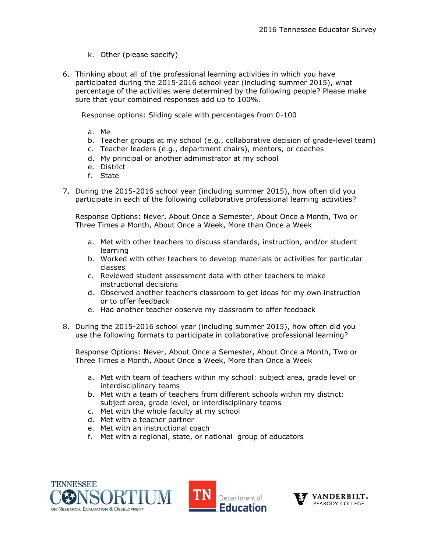- k. Other (please specify)
- 6. Thinking about all of the professional learning activities in which you have participated during the 2015-2016 school year (including summer 2015), what percentage of the activities were determined by the following people? Please make sure that your combined responses add up to 100%.

Response options: Sliding scale with percentages from 0-100

- a. Me
- b. Teacher groups at my school (e.g., collaborative decision of grade-level team)
- c. Teacher leaders (e.g., department chairs), mentors, or coaches
- d. My principal or another administrator at my school
- e. District
- f. State
- 7. During the 2015-2016 school year (including summer 2015), how often did you participate in each of the following collaborative professional learning activities?

Response Options: Never, About Once a Semester, About Once a Month, Two or Three Times a Month, About Once a Week, More than Once a Week

- a. Met with other teachers to discuss standards, instruction, and/or student learning
- b. Worked with other teachers to develop materials or activities for particular classes
- c. Reviewed student assessment data with other teachers to make instructional decisions
- d. Observed another teacher's classroom to get ideas for my own instruction or to offer feedback
- e. Had another teacher observe my classroom to offer feedback
- 8. During the 2015-2016 school year (including summer 2015), how often did you use the following formats to participate in collaborative professional learning?

Response Options: Never, About Once a Semester, About Once a Month, Two or Three Times a Month, About Once a Week, More than Once a Week

- a. Met with team of teachers within my school: subject area, grade level or interdisciplinary teams
- b. Met with a team of teachers from different schools within my district: subject area, grade level, or interdisciplinary teams
- c. Met with the whole faculty at my school
- d. Met with a teacher partner
- e. Met with an instructional coach
- f. Met with a regional, state, or national group of educators





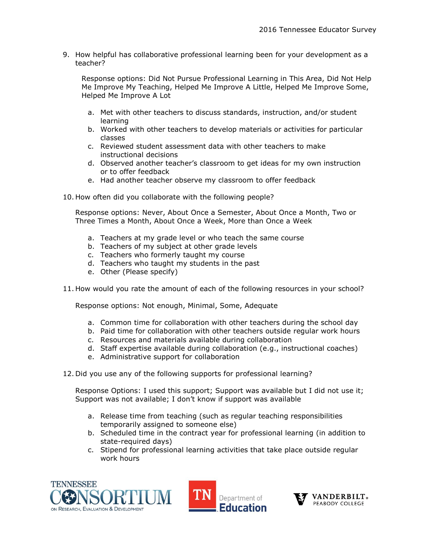9. How helpful has collaborative professional learning been for your development as a teacher?

Response options: Did Not Pursue Professional Learning in This Area, Did Not Help Me Improve My Teaching, Helped Me Improve A Little, Helped Me Improve Some, Helped Me Improve A Lot

- a. Met with other teachers to discuss standards, instruction, and/or student learning
- b. Worked with other teachers to develop materials or activities for particular classes
- c. Reviewed student assessment data with other teachers to make instructional decisions
- d. Observed another teacher's classroom to get ideas for my own instruction or to offer feedback
- e. Had another teacher observe my classroom to offer feedback
- 10. How often did you collaborate with the following people?

Response options: Never, About Once a Semester, About Once a Month, Two or Three Times a Month, About Once a Week, More than Once a Week

- a. Teachers at my grade level or who teach the same course
- b. Teachers of my subject at other grade levels
- c. Teachers who formerly taught my course
- d. Teachers who taught my students in the past
- e. Other (Please specify)
- 11. How would you rate the amount of each of the following resources in your school?

Response options: Not enough, Minimal, Some, Adequate

- a. Common time for collaboration with other teachers during the school day
- b. Paid time for collaboration with other teachers outside regular work hours
- c. Resources and materials available during collaboration
- d. Staff expertise available during collaboration (e.g., instructional coaches)
- e. Administrative support for collaboration
- 12. Did you use any of the following supports for professional learning?

Response Options: I used this support; Support was available but I did not use it; Support was not available; I don't know if support was available

- a. Release time from teaching (such as regular teaching responsibilities temporarily assigned to someone else)
- b. Scheduled time in the contract year for professional learning (in addition to state-required days)
- c. Stipend for professional learning activities that take place outside regular work hours